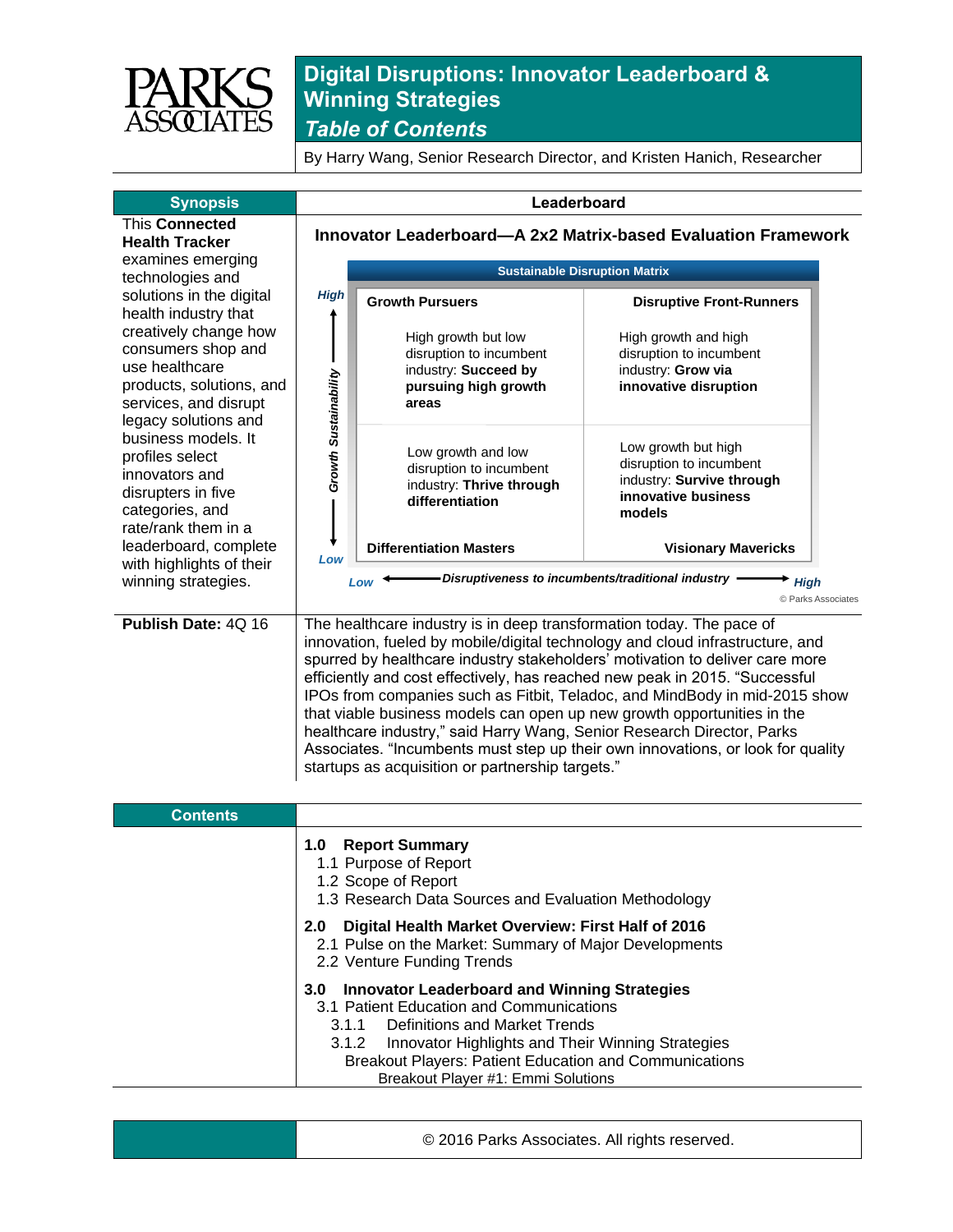

By Harry Wang, Senior Research Director, and Kristen Hanich, Researcher

| <b>Synopsis</b>                                                                                                                                                                                | Leaderboard                                                                                                                                                                                                                                                                                                                                                                                                                                                                                                                                                                                                                                                                                    |                                                                                                                                                                                                                                                        |                                                                                                                                   |  |
|------------------------------------------------------------------------------------------------------------------------------------------------------------------------------------------------|------------------------------------------------------------------------------------------------------------------------------------------------------------------------------------------------------------------------------------------------------------------------------------------------------------------------------------------------------------------------------------------------------------------------------------------------------------------------------------------------------------------------------------------------------------------------------------------------------------------------------------------------------------------------------------------------|--------------------------------------------------------------------------------------------------------------------------------------------------------------------------------------------------------------------------------------------------------|-----------------------------------------------------------------------------------------------------------------------------------|--|
| <b>This Connected</b><br><b>Health Tracker</b>                                                                                                                                                 | Innovator Leaderboard-A 2x2 Matrix-based Evaluation Framework                                                                                                                                                                                                                                                                                                                                                                                                                                                                                                                                                                                                                                  |                                                                                                                                                                                                                                                        |                                                                                                                                   |  |
| examines emerging                                                                                                                                                                              |                                                                                                                                                                                                                                                                                                                                                                                                                                                                                                                                                                                                                                                                                                |                                                                                                                                                                                                                                                        |                                                                                                                                   |  |
| technologies and                                                                                                                                                                               |                                                                                                                                                                                                                                                                                                                                                                                                                                                                                                                                                                                                                                                                                                |                                                                                                                                                                                                                                                        | <b>Sustainable Disruption Matrix</b>                                                                                              |  |
| solutions in the digital<br>health industry that<br>creatively change how<br>consumers shop and<br>use healthcare<br>products, solutions, and<br>services, and disrupt<br>legacy solutions and | <b>High</b>                                                                                                                                                                                                                                                                                                                                                                                                                                                                                                                                                                                                                                                                                    | <b>Growth Pursuers</b><br>High growth but low<br>disruption to incumbent<br>industry: Succeed by<br>pursuing high growth<br>areas                                                                                                                      | <b>Disruptive Front-Runners</b><br>High growth and high<br>disruption to incumbent<br>industry: Grow via<br>innovative disruption |  |
| business models. It<br>profiles select<br>innovators and<br>disrupters in five<br>categories, and<br>rate/rank them in a                                                                       | Growth Sustainability                                                                                                                                                                                                                                                                                                                                                                                                                                                                                                                                                                                                                                                                          | Low growth and low<br>disruption to incumbent<br>industry: Thrive through<br>differentiation                                                                                                                                                           | Low growth but high<br>disruption to incumbent<br>industry: Survive through<br>innovative business<br>models                      |  |
| leaderboard, complete                                                                                                                                                                          | Low                                                                                                                                                                                                                                                                                                                                                                                                                                                                                                                                                                                                                                                                                            | <b>Differentiation Masters</b>                                                                                                                                                                                                                         | <b>Visionary Mavericks</b>                                                                                                        |  |
| with highlights of their<br>winning strategies.                                                                                                                                                |                                                                                                                                                                                                                                                                                                                                                                                                                                                                                                                                                                                                                                                                                                | Disruptiveness to incumbents/traditional industry<br>Low<br><b>High</b><br>© Parks Associates                                                                                                                                                          |                                                                                                                                   |  |
| Publish Date: 4Q 16                                                                                                                                                                            | The healthcare industry is in deep transformation today. The pace of<br>innovation, fueled by mobile/digital technology and cloud infrastructure, and<br>spurred by healthcare industry stakeholders' motivation to deliver care more<br>efficiently and cost effectively, has reached new peak in 2015. "Successful<br>IPOs from companies such as Fitbit, Teladoc, and MindBody in mid-2015 show<br>that viable business models can open up new growth opportunities in the<br>healthcare industry," said Harry Wang, Senior Research Director, Parks<br>Associates. "Incumbents must step up their own innovations, or look for quality<br>startups as acquisition or partnership targets." |                                                                                                                                                                                                                                                        |                                                                                                                                   |  |
| <b>Contents</b>                                                                                                                                                                                |                                                                                                                                                                                                                                                                                                                                                                                                                                                                                                                                                                                                                                                                                                |                                                                                                                                                                                                                                                        |                                                                                                                                   |  |
|                                                                                                                                                                                                | 1.0                                                                                                                                                                                                                                                                                                                                                                                                                                                                                                                                                                                                                                                                                            | <b>Report Summary</b><br>1.1 Purpose of Report<br>1.2 Scope of Report<br>1.3 Research Data Sources and Evaluation Methodology                                                                                                                          |                                                                                                                                   |  |
|                                                                                                                                                                                                | 2.0                                                                                                                                                                                                                                                                                                                                                                                                                                                                                                                                                                                                                                                                                            | Digital Health Market Overview: First Half of 2016<br>2.1 Pulse on the Market: Summary of Major Developments<br>2.2 Venture Funding Trends                                                                                                             |                                                                                                                                   |  |
|                                                                                                                                                                                                | 3.0<br>3.1.1<br>3.1.2                                                                                                                                                                                                                                                                                                                                                                                                                                                                                                                                                                                                                                                                          | <b>Innovator Leaderboard and Winning Strategies</b><br>3.1 Patient Education and Communications<br><b>Definitions and Market Trends</b><br>Innovator Highlights and Their Winning Strategies<br>Breakout Players: Patient Education and Communications |                                                                                                                                   |  |

© 2016 Parks Associates. All rights reserved.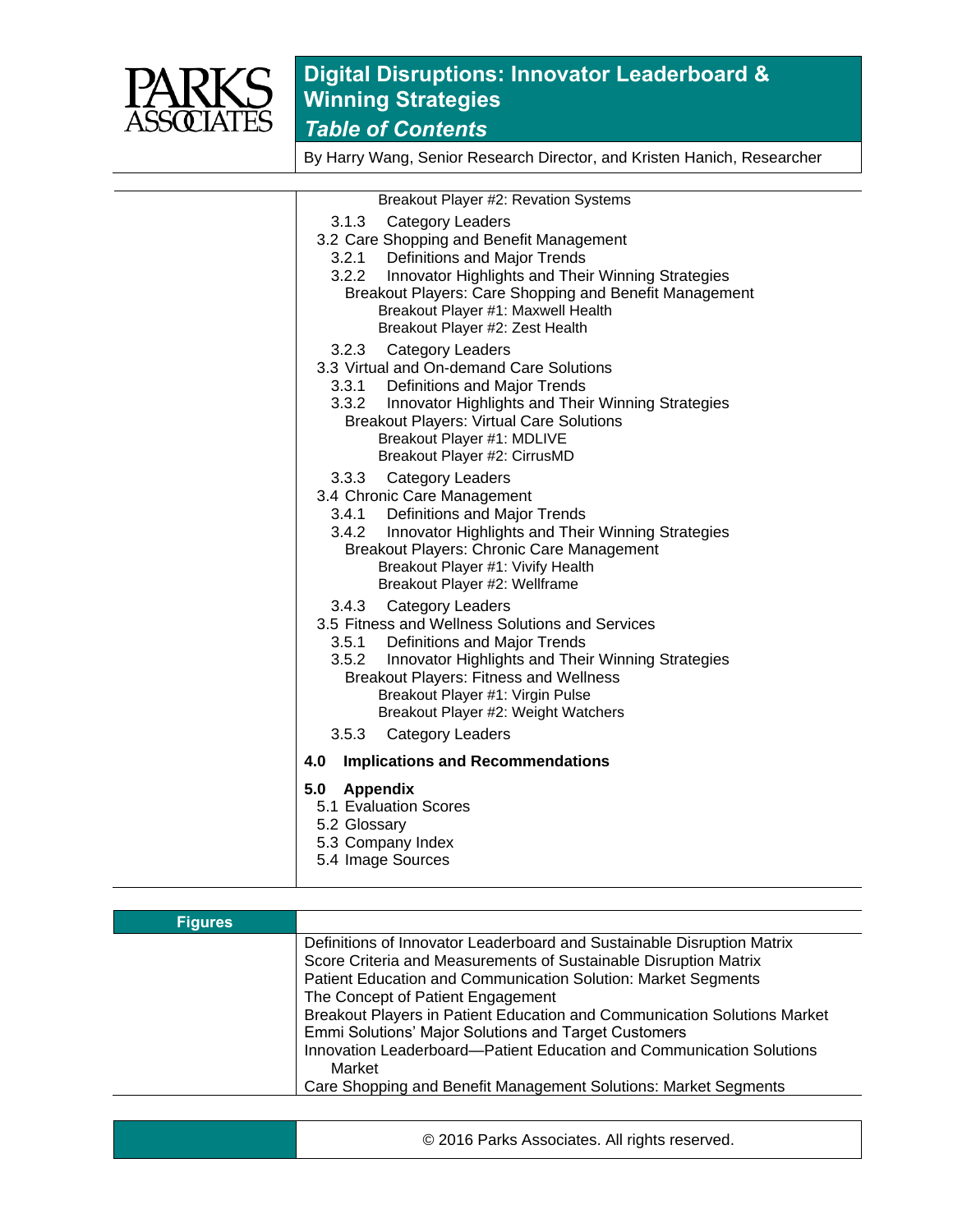

By Harry Wang, Senior Research Director, and Kristen Hanich, Researcher

| Breakout Player #2: Revation Systems                                                                                                                                                                                                                                                                                   |
|------------------------------------------------------------------------------------------------------------------------------------------------------------------------------------------------------------------------------------------------------------------------------------------------------------------------|
| 3.1.3<br><b>Category Leaders</b><br>3.2 Care Shopping and Benefit Management<br>3.2.1 Definitions and Major Trends<br>3.2.2<br>Innovator Highlights and Their Winning Strategies<br>Breakout Players: Care Shopping and Benefit Management<br>Breakout Player #1: Maxwell Health<br>Breakout Player #2: Zest Health    |
| 3.2.3<br><b>Category Leaders</b><br>3.3 Virtual and On-demand Care Solutions<br>3.3.1 Definitions and Major Trends<br>3.3.2 Innovator Highlights and Their Winning Strategies<br><b>Breakout Players: Virtual Care Solutions</b><br>Breakout Player #1: MDLIVE<br>Breakout Player #2: CirrusMD                         |
| 3.3.3<br><b>Category Leaders</b><br>3.4 Chronic Care Management<br>Definitions and Major Trends<br>3.4.1<br>3.4.2<br>Innovator Highlights and Their Winning Strategies<br><b>Breakout Players: Chronic Care Management</b><br>Breakout Player #1: Vivify Health<br>Breakout Player #2: Wellframe                       |
| <b>Category Leaders</b><br>3.4.3<br>3.5 Fitness and Wellness Solutions and Services<br>3.5.1<br>Definitions and Major Trends<br>3.5.2<br>Innovator Highlights and Their Winning Strategies<br><b>Breakout Players: Fitness and Wellness</b><br>Breakout Player #1: Virgin Pulse<br>Breakout Player #2: Weight Watchers |
| 3.5.3<br><b>Category Leaders</b><br><b>Implications and Recommendations</b><br>4.0                                                                                                                                                                                                                                     |
| 5.0<br><b>Appendix</b><br>5.1 Evaluation Scores<br>5.2 Glossary<br>5.3 Company Index<br>5.4 Image Sources                                                                                                                                                                                                              |

| <b>Figures</b> |                                                                                                                                  |
|----------------|----------------------------------------------------------------------------------------------------------------------------------|
|                | Definitions of Innovator Leaderboard and Sustainable Disruption Matrix                                                           |
|                | Score Criteria and Measurements of Sustainable Disruption Matrix                                                                 |
|                | Patient Education and Communication Solution: Market Segments                                                                    |
|                | The Concept of Patient Engagement                                                                                                |
|                | Breakout Players in Patient Education and Communication Solutions Market<br>Emmi Solutions' Major Solutions and Target Customers |
|                | Innovation Leaderboard-Patient Education and Communication Solutions<br>Market                                                   |
|                | Care Shopping and Benefit Management Solutions: Market Segments                                                                  |

© 2016 Parks Associates. All rights reserved.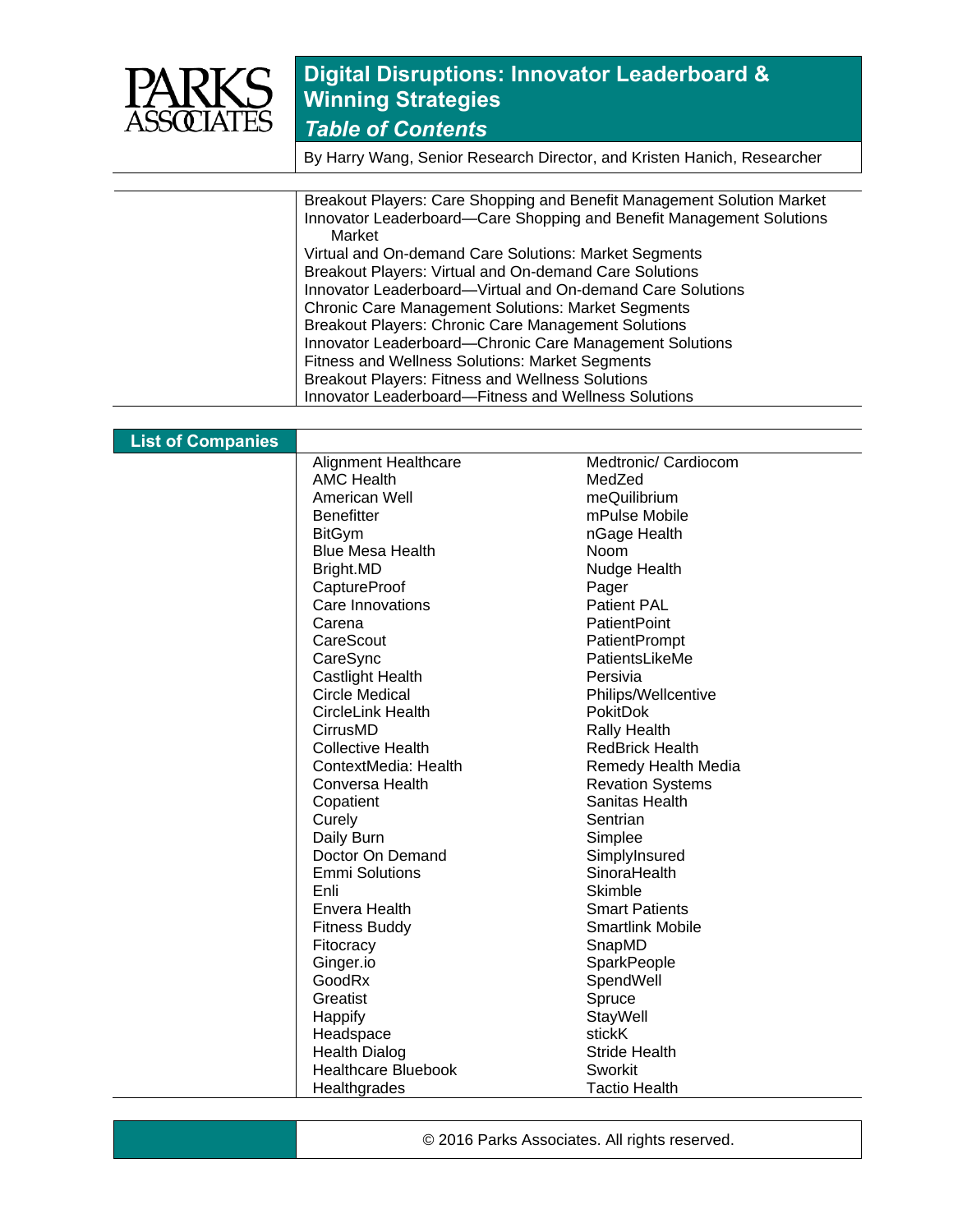

By Harry Wang, Senior Research Director, and Kristen Hanich, Researcher

| Breakout Players: Care Shopping and Benefit Management Solution Market<br>Innovator Leaderboard-Care Shopping and Benefit Management Solutions |
|------------------------------------------------------------------------------------------------------------------------------------------------|
| Market                                                                                                                                         |
| Virtual and On-demand Care Solutions: Market Segments                                                                                          |
| Breakout Players: Virtual and On-demand Care Solutions                                                                                         |
| Innovator Leaderboard—Virtual and On-demand Care Solutions                                                                                     |
| <b>Chronic Care Management Solutions: Market Segments</b>                                                                                      |
| <b>Breakout Players: Chronic Care Management Solutions</b>                                                                                     |
| Innovator Leaderboard-Chronic Care Management Solutions                                                                                        |
| <b>Fitness and Wellness Solutions: Market Segments</b>                                                                                         |
| <b>Breakout Players: Fitness and Wellness Solutions</b>                                                                                        |
| Innovator Leaderboard-Fitness and Wellness Solutions                                                                                           |

#### **List of Companies**

| <b>AMC Health</b><br>MedZed<br>American Well<br>meQuilibrium<br><b>Benefitter</b><br>mPulse Mobile<br><b>BitGym</b><br>nGage Health<br><b>Blue Mesa Health</b><br>Noom<br>Nudge Health<br>Bright.MD<br>CaptureProof<br>Pager<br>Care Innovations<br><b>Patient PAL</b><br><b>PatientPoint</b><br>Carena<br>CareScout<br><b>PatientPrompt</b><br>CareSync<br>PatientsLikeMe<br><b>Castlight Health</b><br>Persivia<br><b>Circle Medical</b><br>Philips/Wellcentive<br><b>CircleLink Health</b><br><b>PokitDok</b><br>CirrusMD<br><b>Rally Health</b><br><b>Collective Health</b><br><b>RedBrick Health</b><br>ContextMedia: Health<br>Remedy Health Media<br><b>Revation Systems</b><br>Conversa Health<br>Sanitas Health<br>Copatient<br>Curely<br>Sentrian<br>Daily Burn<br>Simplee<br>Doctor On Demand<br>SimplyInsured<br><b>Emmi Solutions</b><br>SinoraHealth<br>Skimble<br>Enli<br>Envera Health<br><b>Smart Patients</b><br><b>Smartlink Mobile</b><br><b>Fitness Buddy</b><br>SnapMD<br>Fitocracy<br>Ginger.io<br>SparkPeople<br>GoodRx<br>SpendWell<br>Greatist<br>Spruce<br>Happify<br>StayWell<br>stickK<br>Headspace<br><b>Stride Health</b><br><b>Health Dialog</b><br><b>Healthcare Bluebook</b><br>Sworkit<br><b>Tactio Health</b><br>Healthgrades | <b>Alignment Healthcare</b> | Medtronic/ Cardiocom |
|-------------------------------------------------------------------------------------------------------------------------------------------------------------------------------------------------------------------------------------------------------------------------------------------------------------------------------------------------------------------------------------------------------------------------------------------------------------------------------------------------------------------------------------------------------------------------------------------------------------------------------------------------------------------------------------------------------------------------------------------------------------------------------------------------------------------------------------------------------------------------------------------------------------------------------------------------------------------------------------------------------------------------------------------------------------------------------------------------------------------------------------------------------------------------------------------------------------------------------------------------------------------|-----------------------------|----------------------|
|                                                                                                                                                                                                                                                                                                                                                                                                                                                                                                                                                                                                                                                                                                                                                                                                                                                                                                                                                                                                                                                                                                                                                                                                                                                                   |                             |                      |
|                                                                                                                                                                                                                                                                                                                                                                                                                                                                                                                                                                                                                                                                                                                                                                                                                                                                                                                                                                                                                                                                                                                                                                                                                                                                   |                             |                      |
|                                                                                                                                                                                                                                                                                                                                                                                                                                                                                                                                                                                                                                                                                                                                                                                                                                                                                                                                                                                                                                                                                                                                                                                                                                                                   |                             |                      |
|                                                                                                                                                                                                                                                                                                                                                                                                                                                                                                                                                                                                                                                                                                                                                                                                                                                                                                                                                                                                                                                                                                                                                                                                                                                                   |                             |                      |
|                                                                                                                                                                                                                                                                                                                                                                                                                                                                                                                                                                                                                                                                                                                                                                                                                                                                                                                                                                                                                                                                                                                                                                                                                                                                   |                             |                      |
|                                                                                                                                                                                                                                                                                                                                                                                                                                                                                                                                                                                                                                                                                                                                                                                                                                                                                                                                                                                                                                                                                                                                                                                                                                                                   |                             |                      |
|                                                                                                                                                                                                                                                                                                                                                                                                                                                                                                                                                                                                                                                                                                                                                                                                                                                                                                                                                                                                                                                                                                                                                                                                                                                                   |                             |                      |
|                                                                                                                                                                                                                                                                                                                                                                                                                                                                                                                                                                                                                                                                                                                                                                                                                                                                                                                                                                                                                                                                                                                                                                                                                                                                   |                             |                      |
|                                                                                                                                                                                                                                                                                                                                                                                                                                                                                                                                                                                                                                                                                                                                                                                                                                                                                                                                                                                                                                                                                                                                                                                                                                                                   |                             |                      |
|                                                                                                                                                                                                                                                                                                                                                                                                                                                                                                                                                                                                                                                                                                                                                                                                                                                                                                                                                                                                                                                                                                                                                                                                                                                                   |                             |                      |
|                                                                                                                                                                                                                                                                                                                                                                                                                                                                                                                                                                                                                                                                                                                                                                                                                                                                                                                                                                                                                                                                                                                                                                                                                                                                   |                             |                      |
|                                                                                                                                                                                                                                                                                                                                                                                                                                                                                                                                                                                                                                                                                                                                                                                                                                                                                                                                                                                                                                                                                                                                                                                                                                                                   |                             |                      |
|                                                                                                                                                                                                                                                                                                                                                                                                                                                                                                                                                                                                                                                                                                                                                                                                                                                                                                                                                                                                                                                                                                                                                                                                                                                                   |                             |                      |
|                                                                                                                                                                                                                                                                                                                                                                                                                                                                                                                                                                                                                                                                                                                                                                                                                                                                                                                                                                                                                                                                                                                                                                                                                                                                   |                             |                      |
|                                                                                                                                                                                                                                                                                                                                                                                                                                                                                                                                                                                                                                                                                                                                                                                                                                                                                                                                                                                                                                                                                                                                                                                                                                                                   |                             |                      |
|                                                                                                                                                                                                                                                                                                                                                                                                                                                                                                                                                                                                                                                                                                                                                                                                                                                                                                                                                                                                                                                                                                                                                                                                                                                                   |                             |                      |
|                                                                                                                                                                                                                                                                                                                                                                                                                                                                                                                                                                                                                                                                                                                                                                                                                                                                                                                                                                                                                                                                                                                                                                                                                                                                   |                             |                      |
|                                                                                                                                                                                                                                                                                                                                                                                                                                                                                                                                                                                                                                                                                                                                                                                                                                                                                                                                                                                                                                                                                                                                                                                                                                                                   |                             |                      |
|                                                                                                                                                                                                                                                                                                                                                                                                                                                                                                                                                                                                                                                                                                                                                                                                                                                                                                                                                                                                                                                                                                                                                                                                                                                                   |                             |                      |
|                                                                                                                                                                                                                                                                                                                                                                                                                                                                                                                                                                                                                                                                                                                                                                                                                                                                                                                                                                                                                                                                                                                                                                                                                                                                   |                             |                      |
|                                                                                                                                                                                                                                                                                                                                                                                                                                                                                                                                                                                                                                                                                                                                                                                                                                                                                                                                                                                                                                                                                                                                                                                                                                                                   |                             |                      |
|                                                                                                                                                                                                                                                                                                                                                                                                                                                                                                                                                                                                                                                                                                                                                                                                                                                                                                                                                                                                                                                                                                                                                                                                                                                                   |                             |                      |
|                                                                                                                                                                                                                                                                                                                                                                                                                                                                                                                                                                                                                                                                                                                                                                                                                                                                                                                                                                                                                                                                                                                                                                                                                                                                   |                             |                      |
|                                                                                                                                                                                                                                                                                                                                                                                                                                                                                                                                                                                                                                                                                                                                                                                                                                                                                                                                                                                                                                                                                                                                                                                                                                                                   |                             |                      |
|                                                                                                                                                                                                                                                                                                                                                                                                                                                                                                                                                                                                                                                                                                                                                                                                                                                                                                                                                                                                                                                                                                                                                                                                                                                                   |                             |                      |
|                                                                                                                                                                                                                                                                                                                                                                                                                                                                                                                                                                                                                                                                                                                                                                                                                                                                                                                                                                                                                                                                                                                                                                                                                                                                   |                             |                      |
|                                                                                                                                                                                                                                                                                                                                                                                                                                                                                                                                                                                                                                                                                                                                                                                                                                                                                                                                                                                                                                                                                                                                                                                                                                                                   |                             |                      |
|                                                                                                                                                                                                                                                                                                                                                                                                                                                                                                                                                                                                                                                                                                                                                                                                                                                                                                                                                                                                                                                                                                                                                                                                                                                                   |                             |                      |
|                                                                                                                                                                                                                                                                                                                                                                                                                                                                                                                                                                                                                                                                                                                                                                                                                                                                                                                                                                                                                                                                                                                                                                                                                                                                   |                             |                      |
|                                                                                                                                                                                                                                                                                                                                                                                                                                                                                                                                                                                                                                                                                                                                                                                                                                                                                                                                                                                                                                                                                                                                                                                                                                                                   |                             |                      |
|                                                                                                                                                                                                                                                                                                                                                                                                                                                                                                                                                                                                                                                                                                                                                                                                                                                                                                                                                                                                                                                                                                                                                                                                                                                                   |                             |                      |
|                                                                                                                                                                                                                                                                                                                                                                                                                                                                                                                                                                                                                                                                                                                                                                                                                                                                                                                                                                                                                                                                                                                                                                                                                                                                   |                             |                      |
|                                                                                                                                                                                                                                                                                                                                                                                                                                                                                                                                                                                                                                                                                                                                                                                                                                                                                                                                                                                                                                                                                                                                                                                                                                                                   |                             |                      |
|                                                                                                                                                                                                                                                                                                                                                                                                                                                                                                                                                                                                                                                                                                                                                                                                                                                                                                                                                                                                                                                                                                                                                                                                                                                                   |                             |                      |
|                                                                                                                                                                                                                                                                                                                                                                                                                                                                                                                                                                                                                                                                                                                                                                                                                                                                                                                                                                                                                                                                                                                                                                                                                                                                   |                             |                      |

© 2016 Parks Associates. All rights reserved.